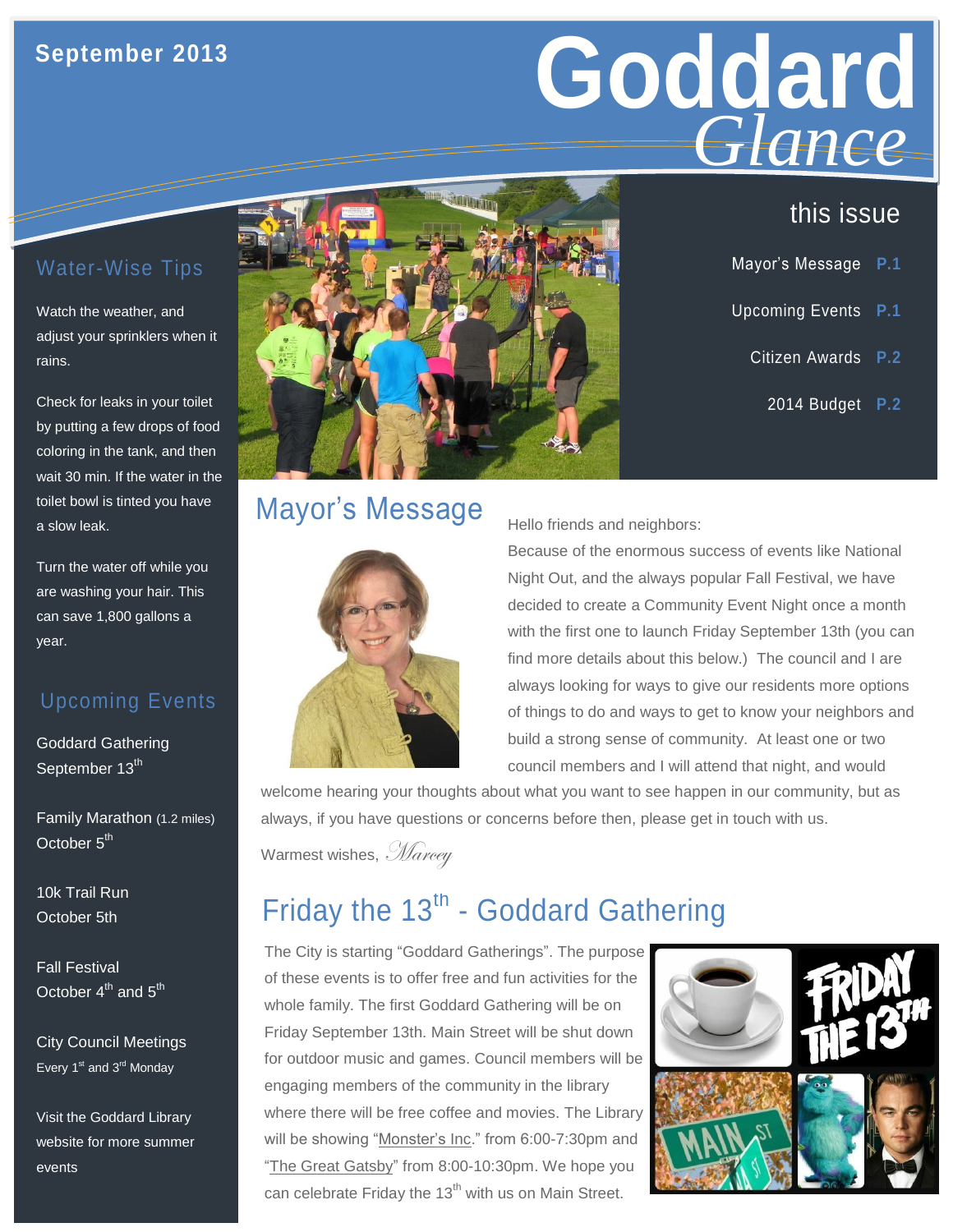#### **September 2013**

# **Goddard GLANCE**<br>this issue *Glance*

Mayor's Message **P.1**

Upcoming Events **P.1**

Citizen Awards **P.2**

2014 Budget **P.2**

#### Water-Wise Tips

Watch the weather, and adjust your sprinklers when it rains.

Check for leaks in your toilet by putting a few drops of food coloring in the tank, and then wait 30 min. If the water in the toilet bowl is tinted you have a slow leak.

Turn the water off while you are washing your hair. This can save 1,800 gallons a year.

#### Upcoming Events

Goddard Gathering September 13<sup>th</sup>

Family Marathon (1.2 miles) October 5<sup>th</sup>

10k Trail Run October 5th

Fall Festival October  $4^{th}$  and  $5^{th}$ 

City Council Meetings Every  $1<sup>st</sup>$  and  $3<sup>rd</sup>$  Monday

Visit the Goddard Library website for more summer events



# Mayor's Message



Hello friends and neighbors:

Because of the enormous success of events like National Night Out, and the always popular Fall Festival, we have decided to create a Community Event Night once a month with the first one to launch Friday September 13th (you can find more details about this below.) The council and I are always looking for ways to give our residents more options of things to do and ways to get to know your neighbors and build a strong sense of community. At least one or two council members and I will attend that night, and would

welcome hearing your thoughts about what you want to see happen in our community, but as always, if you have questions or concerns before then, please get in touch with us.

Warmest wishes, Marcey

# Friday the  $13<sup>th</sup>$  - Goddard Gathering

The City is starting "Goddard Gatherings". The purpose of these events is to offer free and fun activities for the whole family. The first Goddard Gathering will be on Friday September 13th. Main Street will be shut down for outdoor music and games. Council members will be engaging members of the community in the library where there will be free coffee and movies. The Library will be showing "Monster's Inc." from 6:00-7:30pm and "The Great Gatsby" from 8:00-10:30pm. We hope you can celebrate Friday the  $13<sup>th</sup>$  with us on Main Street.